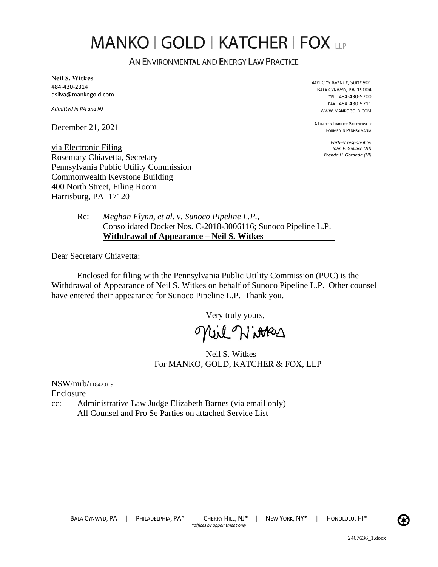# **MANKO | GOLD | KATCHER | FOX LLP**

AN ENVIRONMENTAL AND ENERGY LAW PRACTICE

**Neil S. Witkes**  484-430-2314 dsilva@mankogold.com

*Admitted in PA and NJ* 

December 21, 2021

401 CITY AVENUE, SUITE 901 BALA CYNWYD, PA 19004 TEL: 484-430-5700 FAX: 484-430-5711 WWW.MANKOGOLD.COM

A LIMITED LIABILITY PARTNERSHIP FORMED IN PENNSYLVANIA

> *Partner responsible: John F. Gullace (NJ) Brenda H. Gotanda (HI)*

via Electronic Filing Rosemary Chiavetta, Secretary Pennsylvania Public Utility Commission Commonwealth Keystone Building 400 North Street, Filing Room Harrisburg, PA 17120

> Re: *Meghan Flynn, et al. v. Sunoco Pipeline L.P.*, Consolidated Docket Nos. C-2018-3006116; Sunoco Pipeline L.P. **Withdrawal of Appearance – Neil S. Witkes**

Dear Secretary Chiavetta:

Enclosed for filing with the Pennsylvania Public Utility Commission (PUC) is the Withdrawal of Appearance of Neil S. Witkes on behalf of Sunoco Pipeline L.P. Other counsel have entered their appearance for Sunoco Pipeline L.P. Thank you.

Very truly yours,

Meil Nitters

Neil S. Witkes For MANKO, GOLD, KATCHER & FOX, LLP

NSW/mrb/11842.019 Enclosure cc: Administrative Law Judge Elizabeth Barnes (via email only) All Counsel and Pro Se Parties on attached Service List

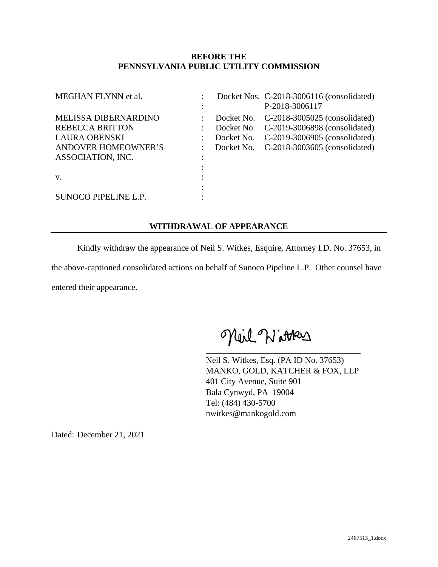# **BEFORE THE PENNSYLVANIA PUBLIC UTILITY COMMISSION**

| MEGHAN FLYNN et al.                                                                                                       | ٠ |                          | Docket Nos. C-2018-3006116 (consolidated)<br>P-2018-3006117                                                                                            |
|---------------------------------------------------------------------------------------------------------------------------|---|--------------------------|--------------------------------------------------------------------------------------------------------------------------------------------------------|
| MELISSA DIBERNARDINO<br><b>REBECCA BRITTON</b><br><b>LAURA OBENSKI</b><br><b>ANDOVER HOMEOWNER'S</b><br>ASSOCIATION, INC. | ٠ | Docket No.<br>Docket No. | Docket No. C-2018-3005025 (consolidated)<br>Docket No. C-2019-3006898 (consolidated)<br>C-2019-3006905 (consolidated)<br>C-2018-3003605 (consolidated) |
| V.<br>SUNOCO PIPELINE L.P.                                                                                                |   |                          |                                                                                                                                                        |

# **WITHDRAWAL OF APPEARANCE**

Kindly withdraw the appearance of Neil S. Witkes, Esquire, Attorney I.D. No. 37653, in the above-captioned consolidated actions on behalf of Sunoco Pipeline L.P. Other counsel have entered their appearance.

Meil Witters

Neil S. Witkes, Esq. (PA ID No. 37653) MANKO, GOLD, KATCHER & FOX, LLP 401 City Avenue, Suite 901 Bala Cynwyd, PA 19004 Tel: (484) 430-5700 nwitkes@mankogold.com

Dated: December 21, 2021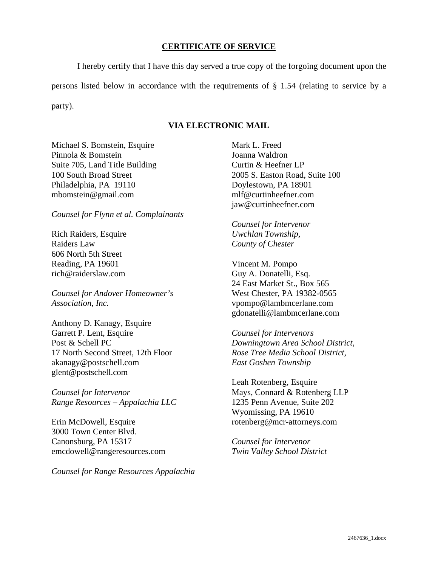#### **CERTIFICATE OF SERVICE**

I hereby certify that I have this day served a true copy of the forgoing document upon the persons listed below in accordance with the requirements of § 1.54 (relating to service by a party).

# **VIA ELECTRONIC MAIL**

Michael S. Bomstein, Esquire Pinnola & Bomstein Suite 705, Land Title Building 100 South Broad Street Philadelphia, PA 19110 mbomstein@gmail.com

*Counsel for Flynn et al. Complainants* 

Rich Raiders, Esquire Raiders Law 606 North 5th Street Reading, PA 19601 rich@raiderslaw.com

*Counsel for Andover Homeowner's Association, Inc.* 

Anthony D. Kanagy, Esquire Garrett P. Lent, Esquire Post & Schell PC 17 North Second Street, 12th Floor akanagy@postschell.com glent@postschell.com

*Counsel for Intervenor Range Resources – Appalachia LLC*

Erin McDowell, Esquire 3000 Town Center Blvd. Canonsburg, PA 15317 emcdowell@rangeresources.com

*Counsel for Range Resources Appalachia* 

Mark L. Freed Joanna Waldron Curtin & Heefner LP 2005 S. Easton Road, Suite 100 Doylestown, PA 18901 mlf@curtinheefner.com jaw@curtinheefner.com

*Counsel for Intervenor Uwchlan Township, County of Chester* 

Vincent M. Pompo Guy A. Donatelli, Esq. 24 East Market St., Box 565 West Chester, PA 19382-0565 vpompo@lambmcerlane.com gdonatelli@lambmcerlane.com

*Counsel for Intervenors Downingtown Area School District, Rose Tree Media School District, East Goshen Township* 

Leah Rotenberg, Esquire Mays, Connard & Rotenberg LLP 1235 Penn Avenue, Suite 202 Wyomissing, PA 19610 rotenberg@mcr-attorneys.com

*Counsel for Intervenor Twin Valley School District*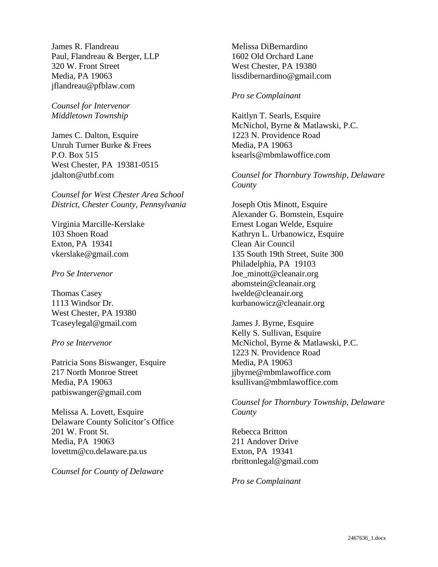James R. Flandreau Paul, Flandreau & Berger, LLP 320 W. Front Street Media, PA 19063 jflandreau@pfblaw.com

*Counsel for Intervenor Middletown Township* 

James C. Dalton, Esquire Unruh Turner Burke & Frees P.O. Box 515 West Chester, PA 19381-0515 jdalton@utbf.com

*Counsel for West Chester Area School District, Chester County, Pennsylvania* 

Virginia Marcille-Kerslake 103 Shoen Road Exton, PA 19341 vkerslake@gmail.com

*Pro Se Intervenor* 

Thomas Casey 1113 Windsor Dr. West Chester, PA 19380 Tcaseylegal@gmail.com

*Pro se Intervenor* 

Patricia Sons Biswanger, Esquire 217 North Monroe Street Media, PA 19063 patbiswanger@gmail.com

Melissa A. Lovett, Esquire Delaware County Solicitor's Office 201 W. Front St. Media, PA 19063 lovettm@co.delaware.pa.us

*Counsel for County of Delaware* 

Melissa DiBernardino 1602 Old Orchard Lane West Chester, PA 19380 lissdibernardino@gmail.com

# *Pro se Complainant*

Kaitlyn T. Searls, Esquire McNichol, Byrne & Matlawski, P.C. 1223 N. Providence Road Media, PA 19063 ksearls@mbmlawoffice.com

*Counsel for Thornbury Township, Delaware County* 

Joseph Otis Minott, Esquire Alexander G. Bomstein, Esquire Ernest Logan Welde, Esquire Kathryn L. Urbanowicz, Esquire Clean Air Council 135 South 19th Street, Suite 300 Philadelphia, PA 19103 Joe\_minott@cleanair.org abomstein@cleanair.org lwelde@cleanair.org kurbanowicz@cleanair.org

James J. Byrne, Esquire Kelly S. Sullivan, Esquire McNichol, Byrne & Matlawski, P.C. 1223 N. Providence Road Media, PA 19063 jjbyrne@mbmlawoffice.com ksullivan@mbmlawoffice.com

*Counsel for Thornbury Township, Delaware County* 

Rebecca Britton 211 Andover Drive Exton, PA 19341 rbrittonlegal@gmail.com

*Pro se Complainant*